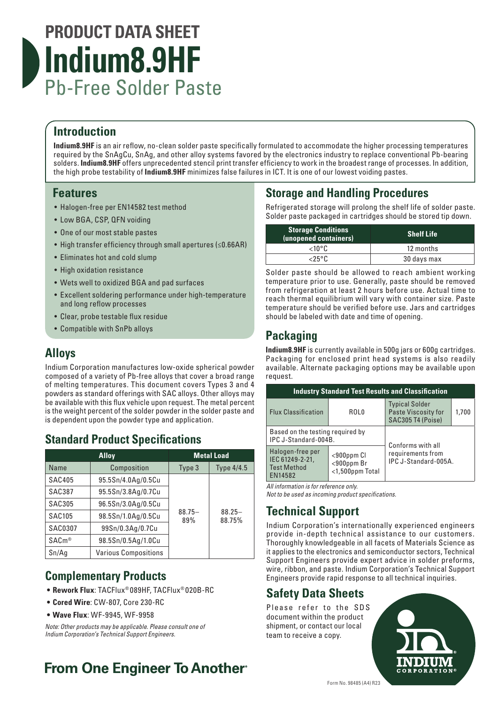# **PRODUCT DATA SHEET Indium8.9HF** Pb-Free Solder Paste

#### **Introduction**

**Indium8.9HF** is an air reflow, no-clean solder paste specifically formulated to accommodate the higher processing temperatures required by the SnAgCu, SnAg, and other alloy systems favored by the electronics industry to replace conventional Pb-bearing solders. **Indium8.9HF** offers unprecedented stencil print transfer efficiency to work in the broadest range of processes. In addition, the high probe testability of **Indium8.9HF** minimizes false failures in ICT. It is one of our lowest voiding pastes.

#### **Features**

- Halogen-free per EN14582 test method
- Low BGA, CSP, QFN voiding
- One of our most stable pastes
- High transfer efficiency through small apertures (≤0.66AR)
- Eliminates hot and cold slump
- High oxidation resistance
- Wets well to oxidized BGA and pad surfaces
- Excellent soldering performance under high-temperature and long reflow processes
- Clear, probe testable flux residue
- Compatible with SnPb alloys

#### **Alloys**

Indium Corporation manufactures low-oxide spherical powder composed of a variety of Pb-free alloys that cover a broad range of melting temperatures. This document covers Types 3 and 4 powders as standard offerings with SAC alloys. Other alloys may be available with this flux vehicle upon request. The metal percent is the weight percent of the solder powder in the solder paste and is dependent upon the powder type and application.

### **Standard Product Specifications**

| <b>Alloy</b>      |                             | <b>Metal Load</b> |                     |
|-------------------|-----------------------------|-------------------|---------------------|
| Name              | Composition                 | Type 3            | Type 4/4.5          |
| <b>SAC405</b>     | 95.5Sn/4.0Ag/0.5Cu          |                   |                     |
| <b>SAC387</b>     | 95.5Sn/3.8Ag/0.7Cu          |                   |                     |
| <b>SAC305</b>     | 96.5Sn/3.0Ag/0.5Cu          | $88.75 -$<br>89%  | $88.25 -$<br>88.75% |
| <b>SAC105</b>     | 98.5Sn/1.0Ag/0.5Cu          |                   |                     |
| <b>SAC0307</b>    | 99Sn/0.3Ag/0.7Cu            |                   |                     |
| SAC <sub>m®</sub> | 98.5Sn/0.5Ag/1.0Cu          |                   |                     |
| Sn/Ag             | <b>Various Compositions</b> |                   |                     |

### **Complementary Products**

- **• Rework Flux**: TACFlux® 089HF, TACFlux® 020B-RC
- **• Cored Wire**: CW-807, Core 230-RC
- **• Wave Flux**: WF-9945, WF-9958

*Note: Other products may be applicable. Please consult one of Indium Corporation's Technical Support Engineers.*

# **From One Engineer To Another**®

## **Storage and Handling Procedures**

Refrigerated storage will prolong the shelf life of solder paste. Solder paste packaged in cartridges should be stored tip down.

| <b>Storage Conditions</b><br>(unopened containers) | <b>Shelf Life</b> |  |
|----------------------------------------------------|-------------------|--|
| ∠10°C                                              | 12 months         |  |
| <25°Ր.                                             | 30 days max       |  |

Solder paste should be allowed to reach ambient working temperature prior to use. Generally, paste should be removed from refrigeration at least 2 hours before use. Actual time to reach thermal equilibrium will vary with container size. Paste temperature should be verified before use. Jars and cartridges should be labeled with date and time of opening.

## **Packaging**

**Indium8.9HF** is currently available in 500g jars or 600g cartridges. Packaging for enclosed print head systems is also readily available. Alternate packaging options may be available upon request.

| <b>Industry Standard Test Results and Classification</b>             |                                                       |                                                                   |       |  |  |  |  |
|----------------------------------------------------------------------|-------------------------------------------------------|-------------------------------------------------------------------|-------|--|--|--|--|
| <b>Flux Classification</b>                                           | ROL0                                                  | <b>Typical Solder</b><br>Paste Viscosity for<br>SAC305 T4 (Poise) | 1.700 |  |  |  |  |
| Based on the testing required by<br>IPC J-Standard-004B.             |                                                       | Conforms with all                                                 |       |  |  |  |  |
| Halogen-free per<br>IEC 61249-2-21,<br><b>Test Method</b><br>EN14582 | $<$ 900 $p$ pm Cl<br><900ppm Br<br>$<$ 1,500ppm Total | requirements from<br>IPC J-Standard-005A.                         |       |  |  |  |  |

*All information is for reference only.* 

*Not to be used as incoming product specifications.*

### **Technical Support**

Indium Corporation's internationally experienced engineers provide in-depth technical assistance to our customers. Thoroughly knowledgeable in all facets of Materials Science as it applies to the electronics and semiconductor sectors, Technical Support Engineers provide expert advice in solder preforms, wire, ribbon, and paste. Indium Corporation's Technical Support Engineers provide rapid response to all technical inquiries.

## **Safety Data Sheets**

Please refer to the SDS document within the product shipment, or contact our local team to receive a copy.